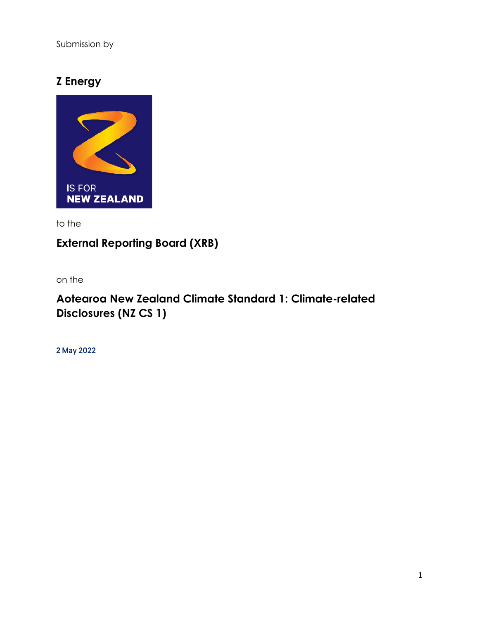Submission by

## **Z Energy**



to the

# **External Reporting Board (XRB)**

on the

## **Aotearoa New Zealand Climate Standard 1: Climate-related Disclosures (NZ CS 1)**

2 May 2022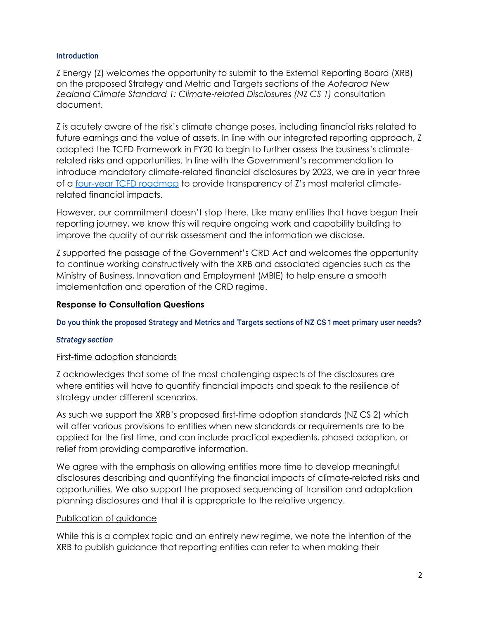#### **Introduction**

Z Energy (Z) welcomes the opportunity to submit to the External Reporting Board (XRB) on the proposed Strategy and Metric and Targets sections of the *Aotearoa New Zealand Climate Standard 1: Climate-related Disclosures (NZ CS 1)* consultation document.

Z is acutely aware of the risk's climate change poses, including financial risks related to future earnings and the value of assets. In line with our integrated reporting approach, Z adopted the TCFD Framework in FY20 to begin to further assess the business's climaterelated risks and opportunities. In line with the Government's recommendation to introduce mandatory climate-related financial disclosures by 2023, we are in year three of a [four-year TCFD roadmap](https://investors.z.co.nz/static-files/1a719e3b-a733-48e8-99d0-c7b4f140dcb9) to provide transparency of Z's most material climaterelated financial impacts.

However, our commitment doesn't stop there. Like many entities that have begun their reporting journey, we know this will require ongoing work and capability building to improve the quality of our risk assessment and the information we disclose.

Z supported the passage of the Government's CRD Act and welcomes the opportunity to continue working constructively with the XRB and associated agencies such as the Ministry of Business, Innovation and Employment (MBIE) to help ensure a smooth implementation and operation of the CRD regime.

## **Response to Consultation Questions**

Do you think the proposed Strategy and Metrics and Targets sections of NZ CS 1 meet primary user needs?

#### **Strategy section**

#### First-time adoption standards

Z acknowledges that some of the most challenging aspects of the disclosures are where entities will have to quantify financial impacts and speak to the resilience of strategy under different scenarios.

As such we support the XRB's proposed first-time adoption standards (NZ CS 2) which will offer various provisions to entities when new standards or requirements are to be applied for the first time, and can include practical expedients, phased adoption, or relief from providing comparative information.

We agree with the emphasis on allowing entities more time to develop meaningful disclosures describing and quantifying the financial impacts of climate-related risks and opportunities. We also support the proposed sequencing of transition and adaptation planning disclosures and that it is appropriate to the relative urgency.

#### Publication of guidance

While this is a complex topic and an entirely new regime, we note the intention of the XRB to publish guidance that reporting entities can refer to when making their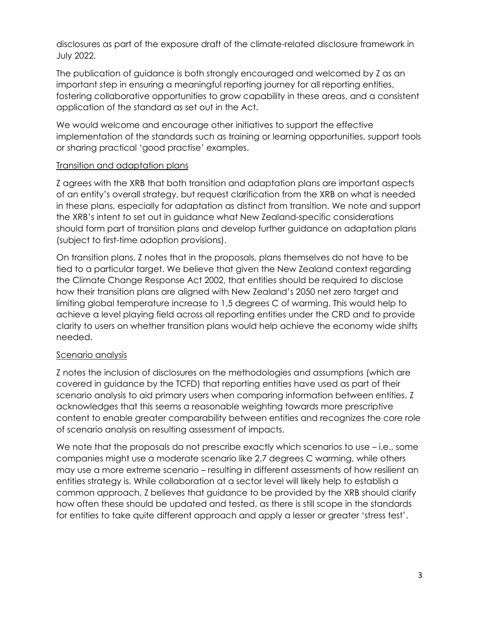disclosures as part of the exposure draft of the climate-related disclosure framework in July 2022.

The publication of guidance is both strongly encouraged and welcomed by Z as an important step in ensuring a meaningful reporting journey for all reporting entities, fostering collaborative opportunities to grow capability in these areas, and a consistent application of the standard as set out in the Act.

We would welcome and encourage other initiatives to support the effective implementation of the standards such as training or learning opportunities, support tools or sharing practical 'good practise' examples.

### Transition and adaptation plans

Z agrees with the XRB that both transition and adaptation plans are important aspects of an entity's overall strategy, but request clarification from the XRB on what is needed in these plans, especially for adaptation as distinct from transition. We note and support the XRB's intent to set out in guidance what New Zealand-specific considerations should form part of transition plans and develop further guidance on adaptation plans (subject to first-time adoption provisions).

On transition plans, Z notes that in the proposals, plans themselves do not have to be tied to a particular target. We believe that given the New Zealand context regarding the Climate Change Response Act 2002, that entities should be required to disclose how their transition plans are aligned with New Zealand's 2050 net zero target and limiting global temperature increase to 1.5 degrees C of warming. This would help to achieve a level playing field across all reporting entities under the CRD and to provide clarity to users on whether transition plans would help achieve the economy wide shifts needed.

## Scenario analysis

Z notes the inclusion of disclosures on the methodologies and assumptions (which are covered in guidance by the TCFD) that reporting entities have used as part of their scenario analysis to aid primary users when comparing information between entities. Z acknowledges that this seems a reasonable weighting towards more prescriptive content to enable greater comparability between entities and recognizes the core role of scenario analysis on resulting assessment of impacts.

We note that the proposals do not prescribe exactly which scenarios to use – i.e., some companies might use a moderate scenario like 2.7 degrees C warming, while others may use a more extreme scenario – resulting in different assessments of how resilient an entities strategy is. While collaboration at a sector level will likely help to establish a common approach, Z believes that guidance to be provided by the XRB should clarify how often these should be updated and tested, as there is still scope in the standards for entities to take quite different approach and apply a lesser or greater 'stress test'.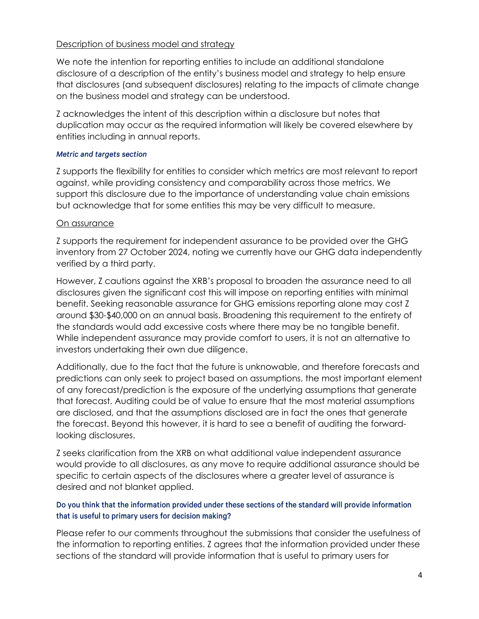## Description of business model and strategy

We note the intention for reporting entities to include an additional standalone disclosure of a description of the entity's business model and strategy to help ensure that disclosures (and subsequent disclosures) relating to the impacts of climate change on the business model and strategy can be understood.

Z acknowledges the intent of this description within a disclosure but notes that duplication may occur as the required information will likely be covered elsewhere by entities including in annual reports.

#### **Metric and targets section**

Z supports the flexibility for entities to consider which metrics are most relevant to report against, while providing consistency and comparability across those metrics. We support this disclosure due to the importance of understanding value chain emissions but acknowledge that for some entities this may be very difficult to measure.

### On assurance

Z supports the requirement for independent assurance to be provided over the GHG inventory from 27 October 2024, noting we currently have our GHG data independently verified by a third party.

However, Z cautions against the XRB's proposal to broaden the assurance need to all disclosures given the significant cost this will impose on reporting entities with minimal benefit. Seeking reasonable assurance for GHG emissions reporting alone may cost Z around \$30-\$40,000 on an annual basis. Broadening this requirement to the entirety of the standards would add excessive costs where there may be no tangible benefit. While independent assurance may provide comfort to users, it is not an alternative to investors undertaking their own due diligence.

Additionally, due to the fact that the future is unknowable, and therefore forecasts and predictions can only seek to project based on assumptions, the most important element of any forecast/prediction is the exposure of the underlying assumptions that generate that forecast. Auditing could be of value to ensure that the most material assumptions are disclosed, and that the assumptions disclosed are in fact the ones that generate the forecast. Beyond this however, it is hard to see a benefit of auditing the forwardlooking disclosures.

Z seeks clarification from the XRB on what additional value independent assurance would provide to all disclosures, as any move to require additional assurance should be specific to certain aspects of the disclosures where a greater level of assurance is desired and not blanket applied.

## Do you think that the information provided under these sections of the standard will provide information that is useful to primary users for decision making?

Please refer to our comments throughout the submissions that consider the usefulness of the information to reporting entities. Z agrees that the information provided under these sections of the standard will provide information that is useful to primary users for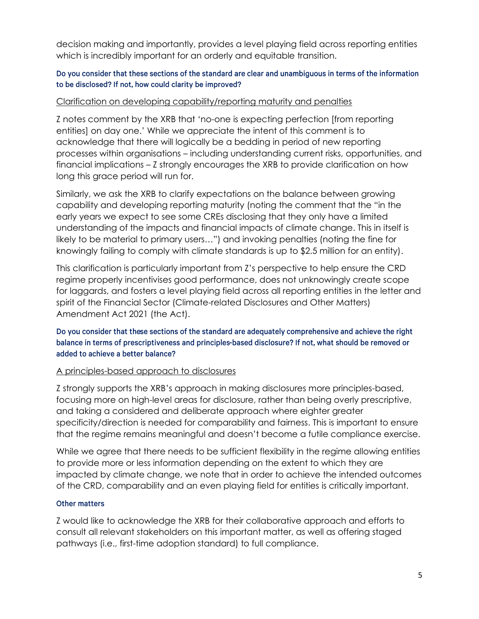decision making and importantly, provides a level playing field across reporting entities which is incredibly important for an orderly and equitable transition.

## Do you consider that these sections of the standard are clear and unambiguous in terms of the information to be disclosed? If not, how could clarity be improved?

## Clarification on developing capability/reporting maturity and penalties

Z notes comment by the XRB that 'no-one is expecting perfection [from reporting entities] on day one.' While we appreciate the intent of this comment is to acknowledge that there will logically be a bedding in period of new reporting processes within organisations – including understanding current risks, opportunities, and financial implications – Z strongly encourages the XRB to provide clarification on how long this grace period will run for.

Similarly, we ask the XRB to clarify expectations on the balance between growing capability and developing reporting maturity (noting the comment that the "in the early years we expect to see some CREs disclosing that they only have a limited understanding of the impacts and financial impacts of climate change. This in itself is likely to be material to primary users…") and invoking penalties (noting the fine for knowingly failing to comply with climate standards is up to \$2.5 million for an entity).

This clarification is particularly important from Z's perspective to help ensure the CRD regime properly incentivises good performance, does not unknowingly create scope for laggards, and fosters a level playing field across all reporting entities in the letter and spirit of the Financial Sector (Climate-related Disclosures and Other Matters) Amendment Act 2021 (the Act).

## Do you consider that these sections of the standard are adequately comprehensive and achieve the right balance in terms of prescriptiveness and principles-based disclosure? If not, what should be removed or added to achieve a better balance?

#### A principles-based approach to disclosures

Z strongly supports the XRB's approach in making disclosures more principles-based, focusing more on high-level areas for disclosure, rather than being overly prescriptive, and taking a considered and deliberate approach where eighter greater specificity/direction is needed for comparability and fairness. This is important to ensure that the regime remains meaningful and doesn't become a futile compliance exercise.

While we agree that there needs to be sufficient flexibility in the regime allowing entities to provide more or less information depending on the extent to which they are impacted by climate change, we note that in order to achieve the intended outcomes of the CRD, comparability and an even playing field for entities is critically important.

#### **Other matters**

Z would like to acknowledge the XRB for their collaborative approach and efforts to consult all relevant stakeholders on this important matter, as well as offering staged pathways (i.e., first-time adoption standard) to full compliance.